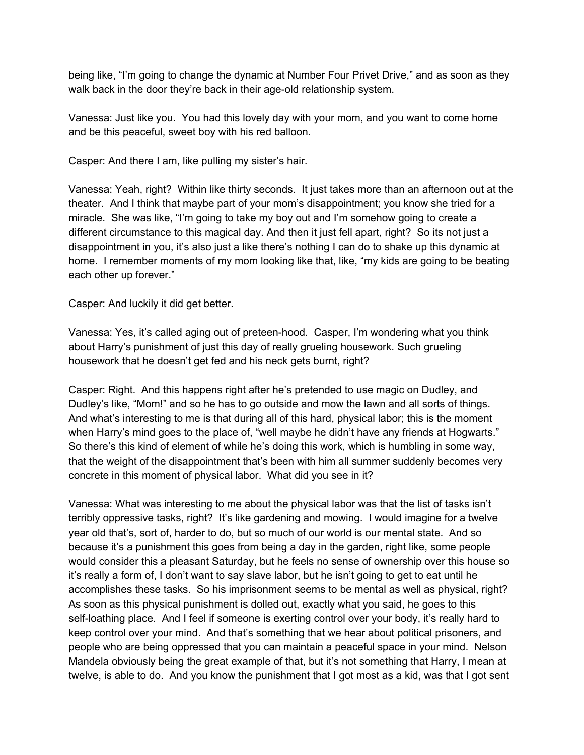being like, "I'm going to change the dynamic at Number Four Privet Drive," and as soon as they walk back in the door they're back in their age-old relationship system.

Vanessa: Just like you. You had this lovely day with your mom, and you want to come home and be this peaceful, sweet boy with his red balloon.

Casper: And there I am, like pulling my sister's hair.

Vanessa: Yeah, right? Within like thirty seconds. It just takes more than an afternoon out at the theater. And I think that maybe part of your mom's disappointment; you know she tried for a miracle. She was like, "I'm going to take my boy out and I'm somehow going to create a different circumstance to this magical day. And then it just fell apart, right? So its not just a disappointment in you, it's also just a like there's nothing I can do to shake up this dynamic at home. I remember moments of my mom looking like that, like, "my kids are going to be beating each other up forever."

Casper: And luckily it did get better.



Vanessa: Yes, it's called aging out of preteen-hood. Casper, I'm wondering what you think about Harry's punishment of just this day of really grueling housework. Such grueling housework that he doesn't get fed and his neck gets burnt, right?

Casper: Right. And this happens right after he's pretended to use magic on Dudley, and Dudley's like, "Mom!" and so he has to go outside and mow the lawn and all sorts of things. And what's interesting to me is that luning all of this hard, physical labor; this is the moment when Harry's mind goes to the place of, "well maybe he didn't have any friends at Hogwarts." So there's this kind of elements while he's doing this work, which is humbling in some way, that the weight of the disappointment that's been with him all summer suddenly becomes very concrete in this moment of physical labor. What did you see in it?

Vanessa: What was interesting to me about the physical labor was that the list of tasks isn't terribly oppressive tasks, right? It's like gardening and mowing. I would imagine for a twelve year old that's, sort of, harder to do, but so much of our world is our mental state. And so because it's a punishment this goes from being a day in the garden, right like, some people would consider this a pleasant Saturday, but he feels no sense of ownership over this house so it's really a form of, I don't want to say slave labor, but he isn't going to get to eat until he accomplishes these tasks. So his imprisonment seems to be mental as well as physical, right? As soon as this physical punishment is dolled out, exactly what you said, he goes to this self-loathing place. And I feel if someone is exerting control over your body, it's really hard to keep control over your mind. And that's something that we hear about political prisoners, and people who are being oppressed that you can maintain a peaceful space in your mind. Nelson Mandela obviously being the great example of that, but it's not something that Harry, I mean at twelve, is able to do. And you know the punishment that I got most as a kid, was that I got sent Casper. And luckily it did get better.<br>
Vanessa: Yes, it's called aging out of preteen-hood. Casper, IT workering with about Harry's punishment of just this day of really gruell  $\bullet$  Deferences use not be that the doesn't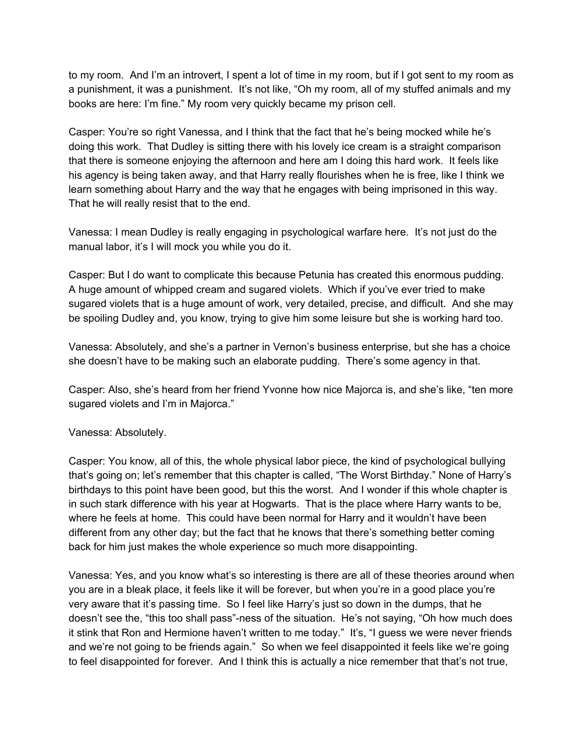to my room. And I'm an introvert, I spent a lot of time in my room, but if I got sent to my room as a punishment, it was a punishment. It's not like, "Oh my room, all of my stuffed animals and my books are here: I'm fine." My room very quickly became my prison cell.

Casper: You're so right Vanessa, and I think that the fact that he's being mocked while he's doing this work. That Dudley is sitting there with his lovely ice cream is a straight comparison that there is someone enjoying the afternoon and here am I doing this hard work. It feels like his agency is being taken away, and that Harry really flourishes when he is free, like I think we learn something about Harry and the way that he engages with being imprisoned in this way. That he will really resist that to the end.

Vanessa: I mean Dudley is really engaging in psychological warfare here. It's not just do the manual labor, it's I will mock you while you do it.

Casper: But I do want to complicate this because Petunia has created this enormous pudding. A huge amount of whipped cream and sugared violets. Which if you've ever tried to make sugared violets that is a huge amount of work, very detailed, precise, and difficult. And she may be spoiling Dudley and, you know, trying to give him some leisure but she is working hard too. i whipped cream and sugared violets. Which if you've ever the stat is a huge amount of work, very detailed, precise, and difficed and, you know, trying to give him some leisure but she is wely, and she's a partner in Verno

Vanessa: Absolutely, and she's a partner in Vernon's business enterprise, but she has a choice she doesn't have to be making such an elaborate pudding. There's some agency in that.

Casper: Also, she's heard from her friend Yvonne how nice Majorca is, and she's like, "ten more sugared violets and I'm in Majorca."

Vanessa: Absolutely.

Casper: You know, all of this, the whole physical labor piece, the kind of psychological bullying that's going on; let's remember that this chapter is called, "The Worst Birthday." None of Harry's birthdays to this point have been good, but this the worst. And I wonder if this whole chapter is in such stark difference with his year at Hogwarts. That is the place where Harry wants to be, where he feels at home. This could have been normal for Harry and it wouldn't have been different from any other day; but the fact that he knows that there's something better coming back for him just makes the whole experience so much more disappointing. iven//rahandeo.com/<br>
a punishment<br>
books are he<br>
Casper: You'l<br>
doing this wo<br>
that there is s<br>
his agency is<br>
learn somethin<br>
That he will re<br>
Vanessa: I m<br>
manual labor<br>
Casper: But I<br>
sugared viole<br>
be spoiling D<br>
Vanes

Vanessa: Yes, and you know what's so interesting is there are all of these theories around when you are in a bleak place, it feels like it will be forever, but when you're in a good place you're very aware that it's passing time. So I feel like Harry's just so down in the dumps, that he doesn't see the, "this too shall pass"-ness of the situation. He's not saying, "Oh how much does it stink that Ron and Hermione haven't written to me today." It's, "I guess we were never friends and we're not going to be friends again." So when we feel disappointed it feels like we're going to feel disappointed for forever. And I think this is actually a nice remember that that's not true,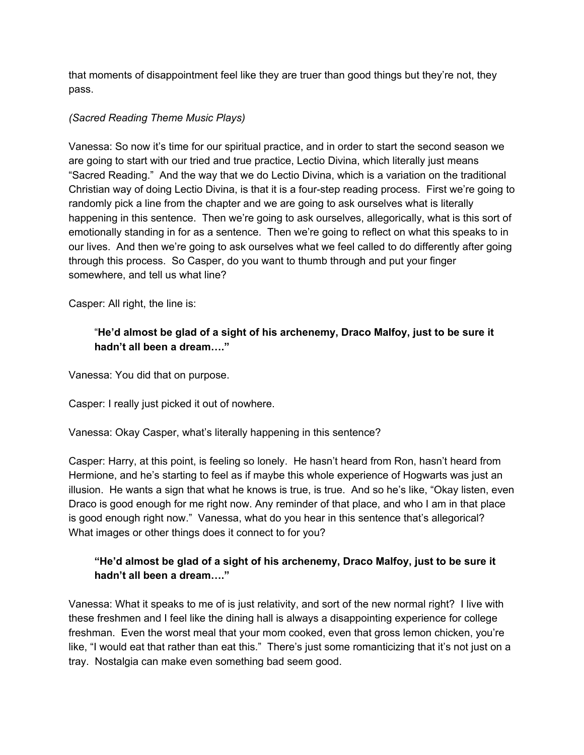that moments of disappointment feel like they are truer than good things but they're not, they pass.

#### *(Sacred Reading Theme Music Plays)*

Vanessa: So now it's time for our spiritual practice, and in order to start the second season we are going to start with our tried and true practice, Lectio Divina, which literally just means "Sacred Reading." And the way that we do Lectio Divina, which is a variation on the traditional Christian way of doing Lectio Divina, is that it is a four-step reading process. First we're going to randomly pick a line from the chapter and we are going to ask ourselves what is literally happening in this sentence. Then we're going to ask ourselves, allegorically, what is this sort of emotionally standing in for as a sentence. Then we're going to reflect on what this speaks to in our lives. And then we're going to ask ourselves what we feel called to do differently after going through this process. So Casper, do you want to thumb through and put your finger somewhere, and tell us what line? iven//rahandeo.com/<br>that moments<br>pass.<br>(Sacred Read<br>Vanessa: So<br>are going to stare of Read<br>Christian way<br>transformed by chappening in<br>enotionally sour lives. And through this promovements,<br>Casper: All right of a hadn't it<br>

Casper: All right, the line is:

# "**He'd almost be glad of a sight of his archenemy, Draco Malfoy, just to be sure it hadn't all been a dream…."**

Vanessa: You did that on purpose.

Casper: I really just picked it out of nowhere.

Vanessa: Okay Casper, what's literally happening in this sentence?

Casper: Harry, at this point, is feeling so lonely. He hasn't heard from Ron, hasn't heard from Hermione, and he's starting to feel as if maybe this whole experience of Hogwarts was just an illusion. He wants a sign that what he knows is true, is true. And so he's like, "Okay listen, even Draco is good enough for me right now. Any reminder of that place, and who I am in that place is good enough right now." Vanessa, what do you hear in this sentence that's allegorical? What images or other things does it connect to for you? the line is:<br>
st be glad of a sight of his archenemy, Draco Malfoy, just<br>
een a dream...."<br>
that on purpose.<br>
st picked it out of nowhere.<br>
asper, what's literally happening in this sentence?<br>
this point, is feeling so lon

# **"He'd almost be glad of a sight of his archenemy, Draco Malfoy, just to be sure it hadn't all been a dream…."**

Vanessa: What it speaks to me of is just relativity, and sort of the new normal right? I live with these freshmen and I feel like the dining hall is always a disappointing experience for college freshman. Even the worst meal that your mom cooked, even that gross lemon chicken, you're like, "I would eat that rather than eat this." There's just some romanticizing that it's not just on a tray. Nostalgia can make even something bad seem good.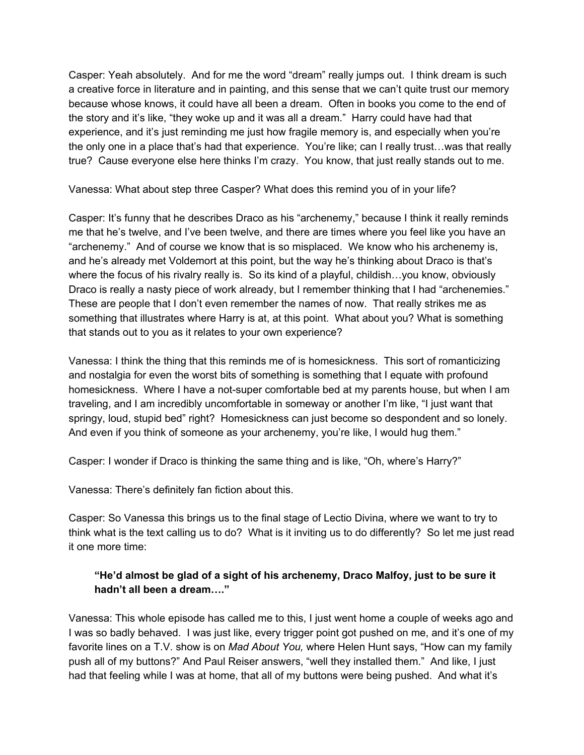Casper: Yeah absolutely. And for me the word "dream" really jumps out. I think dream is such a creative force in literature and in painting, and this sense that we can't quite trust our memory because whose knows, it could have all been a dream. Often in books you come to the end of the story and it's like, "they woke up and it was all a dream." Harry could have had that experience, and it's just reminding me just how fragile memory is, and especially when you're the only one in a place that's had that experience. You're like; can I really trust…was that really true? Cause everyone else here thinks I'm crazy. You know, that just really stands out to me.

Vanessa: What about step three Casper? What does this remind you of in your life?

Casper: It's funny that he describes Draco as his "archenemy," because I think it really reminds me that he's twelve, and I've been twelve, and there are times where you feel like you have an "archenemy." And of course we know that is so misplaced. We know who his archenemy is, and he's already met Voldemort at this point, but the way he's thinking about Draco is that's where the focus of his rivalry really is. So its kind of a playful, childish...you know, obviously Draco is really a nasty piece of work already, but I remember thinking that I had "archenemies." These are people that I don't even remember the names of now. That really strikes me as something that illustrates where Harry is at, at this point. What about you? What is something that stands out to you as it relates to your own experience? iven//rahandeo.com/<br>Casper: Yeal<br>a creative for<br>because who<br>the story and<br>experience, a<br>the only one i<br>true? Cause<br>Vanessa: Wh<br>Casper: it's fiven that he's the stare<br>where the foc<br>Draco is reall<br>These are pe<br>something that

Vanessa: I think the thing that this reminds me of is homesickness. This sort of romanticizing and nostalgia for even the worst bits of something is something that I equate with profound homesickness. Where I have a not-super comfortable bed at my parents house, but when I am traveling, and I am incredibly uncomfortable in someway or another I'm like, "I just want that springy, loud, stupid bed" right? Homesickness can just become so despondent and so lonely. And even if you think of someone as your archenemy, you're like, I would hug them." anasty piece of work already, but I remember thinking that I has that I don't even remember the names of now. That really sustrates where Harry is at, at this point. What about you? When you as it relates to your own exper

Casper: I wonder if Draco is thinking the same thing and is like, "Oh, where's Harry?"

Vanessa: There's definitely fan fiction about this.

Casper: So Vanessa this brings us to the final stage of Lectio Divina, where we want to try to think what is the text calling us to do? What is it inviting us to do differently? So let me just read it one more time:

# **"He'd almost be glad of a sight of his archenemy, Draco Malfoy, just to be sure it hadn't all been a dream…."**

Vanessa: This whole episode has called me to this, I just went home a couple of weeks ago and I was so badly behaved. I was just like, every trigger point got pushed on me, and it's one of my favorite lines on a T.V. show is on *Mad About You,* where Helen Hunt says, "How can my family push all of my buttons?" And Paul Reiser answers, "well they installed them." And like, I just had that feeling while I was at home, that all of my buttons were being pushed. And what it's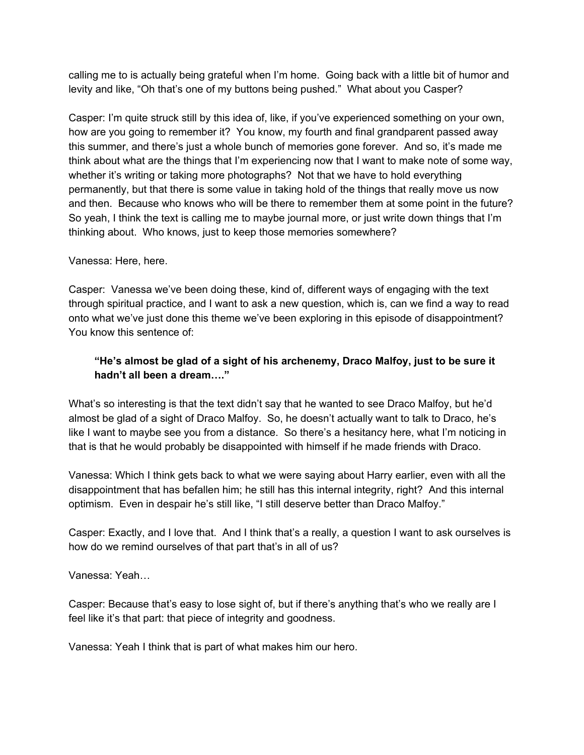calling me to is actually being grateful when I'm home. Going back with a little bit of humor and levity and like, "Oh that's one of my buttons being pushed." What about you Casper?

Casper: I'm quite struck still by this idea of, like, if you've experienced something on your own, how are you going to remember it? You know, my fourth and final grandparent passed away this summer, and there's just a whole bunch of memories gone forever. And so, it's made me think about what are the things that I'm experiencing now that I want to make note of some way, whether it's writing or taking more photographs? Not that we have to hold everything permanently, but that there is some value in taking hold of the things that really move us now and then. Because who knows who will be there to remember them at some point in the future? So yeah, I think the text is calling me to maybe journal more, or just write down things that I'm thinking about. Who knows, just to keep those memories somewhere? iven//rahandeo.com/<br>
calling me to<br>
levity and like<br>
Casper: I'm q<br>
thus summer,<br>
think about w<br>
whether it's w<br>
permanently.<br>
and then. Be<br>
So yeah, I thi<br>
thinking abou<br>
Vanessa: Her<br>
Casper: Van<br>
through spirit<br>
onto wh

#### Vanessa: Here, here.

Casper: Vanessa we've been doing these, kind of, different ways of engaging with the text through spiritual practice, and I want to ask a new question, which is, can we find a way to read onto what we've just done this theme we've been exploring in this episode of disappointment? You know this sentence of: If we've been doing these, kind of, different ways of engaging<br>
practice, and I want to ask a new question, which is, can we film<br>
ust done this theme we've been exploring in this episode of c<br>
thence of:<br>
st be glad of a

# **"He's almost be glad of a sight of his archenemy, Draco Malfoy, just to be sure it hadn't all been a dream…."**

What's so interesting is that the text didn't say that he wanted to see Draco Malfoy, but he'd almost be glad of a sight of Draco Malfoy. So, he doesn't actually want to talk to Draco, he's like I want to maybe see you from a distance. So there's a hesitancy here, what I'm noticing in that is that he would probably be disappointed with himself if he made friends with Draco.

Vanessa: Which I think gets back to what we were saying about Harry earlier, even with all the disappointment that has befallen him; he still has this internal integrity, right? And this internal optimism. Even in despair he's still like, "I still deserve better than Draco Malfoy."

Casper: Exactly, and I love that. And I think that's a really, a question I want to ask ourselves is how do we remind ourselves of that part that's in all of us?

Vanessa: Yeah…

Casper: Because that's easy to lose sight of, but if there's anything that's who we really are I feel like it's that part: that piece of integrity and goodness.

Vanessa: Yeah I think that is part of what makes him our hero.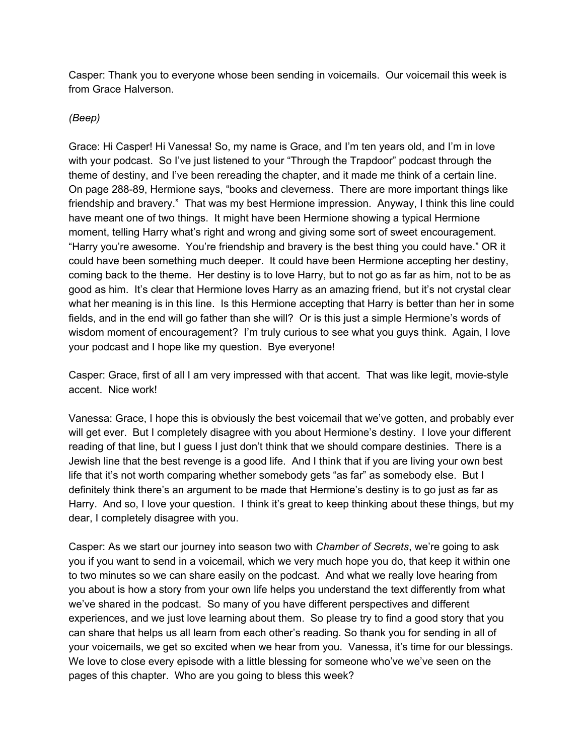Casper: Thank you to everyone whose been sending in voicemails. Our voicemail this week is from Grace Halverson.

#### *(Beep)*

Grace: Hi Casper! Hi Vanessa! So, my name is Grace, and I'm ten years old, and I'm in love with your podcast. So I've just listened to your "Through the Trapdoor" podcast through the theme of destiny, and I've been rereading the chapter, and it made me think of a certain line. On page 288-89, Hermione says, "books and cleverness. There are more important things like friendship and bravery." That was my best Hermione impression. Anyway, I think this line could have meant one of two things. It might have been Hermione showing a typical Hermione moment, telling Harry what's right and wrong and giving some sort of sweet encouragement. "Harry you're awesome. You're friendship and bravery is the best thing you could have." OR it could have been something much deeper. It could have been Hermione accepting her destiny, coming back to the theme. Her destiny is to love Harry, but to not go as far as him, not to be as good as him. It's clear that Hermione loves Harry as an amazing friend, but it's not crystal clear what her meaning is in this line. Is this Hermione accepting that Harry is better than her in some fields, and in the end will go father than she will? Or is this just a simple Hermione's words of wisdom moment of encouragement? I'm truly curious to see what you guys think. Again, I love your podcast and I hope like my question. Bye everyone! clear that Hermione loves Harry as an amazing friend, but it'<br>i is in this line. Is this Hermione accepting that Harry is bette<br>end will go father than she will? Or is this just a simple Herm<br>of encouragement? I'm truly cu inger//rahandeo.com/<br>
Grace: Hi Ca:<br>
(Beep)<br>
Grace: Hi Ca:<br>
with your podd<br>
theme of dest<br>
Or page 288<br>
friendship ann<br>
have meant c<br>
moment, tellif<br>
"Harry you're<br>
could have be coming back<br>
good as him.<br>
what her meer<br>
f

Casper: Grace, first of all I am very impressed with that accent. That was like legit, movie-style accent. Nice work!

Vanessa: Grace, I hope this is obviously the best voicemail that we've gotten, and probably ever will get ever. But I completely disagree with you about Hermione's destiny. I love your different reading of that line, but I guess I just don't think that we should compare destinies. There is a Jewish line that the best revenge is a good life. And I think that if you are living your own best life that it's not worth comparing whether somebody gets "as far" as somebody else. But I definitely think there's an argument to be made that Hermione's destiny is to go just as far as Harry. And so, I love your question. I think it's great to keep thinking about these things, but my dear, I completely disagree with you.

Casper: As we start our journey into season two with *Chamber of Secrets*, we're going to ask you if you want to send in a voicemail, which we very much hope you do, that keep it within one to two minutes so we can share easily on the podcast. And what we really love hearing from you about is how a story from your own life helps you understand the text differently from what we've shared in the podcast. So many of you have different perspectives and different experiences, and we just love learning about them. So please try to find a good story that you can share that helps us all learn from each other's reading. So thank you for sending in all of your voicemails, we get so excited when we hear from you. Vanessa, it's time for our blessings. We love to close every episode with a little blessing for someone who've we've seen on the pages of this chapter. Who are you going to bless this week?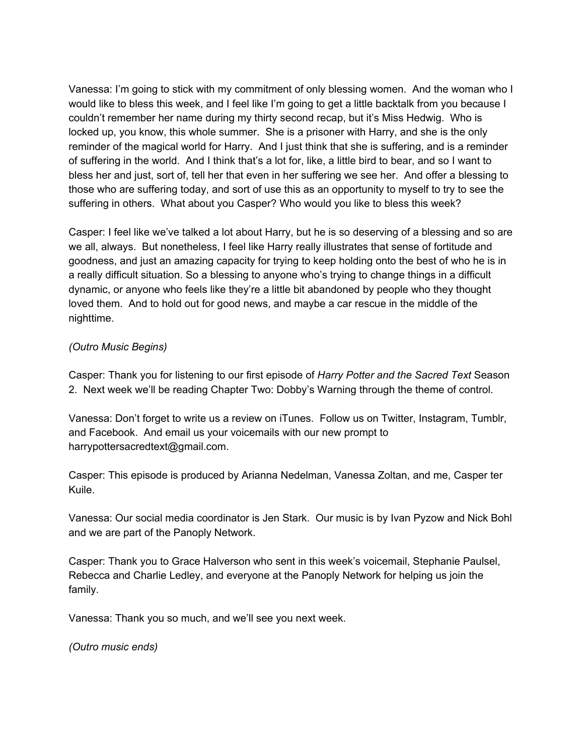Vanessa: I'm going to stick with my commitment of only blessing women. And the woman who I would like to bless this week, and I feel like I'm going to get a little backtalk from you because I couldn't remember her name during my thirty second recap, but it's Miss Hedwig. Who is locked up, you know, this whole summer. She is a prisoner with Harry, and she is the only reminder of the magical world for Harry. And I just think that she is suffering, and is a reminder of suffering in the world. And I think that's a lot for, like, a little bird to bear, and so I want to bless her and just, sort of, tell her that even in her suffering we see her. And offer a blessing to those who are suffering today, and sort of use this as an opportunity to myself to try to see the suffering in others. What about you Casper? Who would you like to bless this week? iven//rahanideo.com/<br>Vanessa: I'm<br>would like to<br>couldn't reme<br>locked up, yo<br>reminder of the offering in<br>those who are<br>suffering in offering in offering in of<br>casper: I feel<br>we all, always<br>goodness, an<br>a really difficult dy

Casper: I feel like we've talked a lot about Harry, but he is so deserving of a blessing and so are we all, always. But nonetheless, I feel like Harry really illustrates that sense of fortitude and goodness, and just an amazing capacity for trying to keep holding onto the best of who he is in a really difficult situation. So a blessing to anyone who's trying to change things in a difficult dynamic, or anyone who feels like they're a little bit abandoned by people who they thought loved them. And to hold out for good news, and maybe a car rescue in the middle of the nighttime. The who feels like they're a little bit abandoned by people who<br>to hold out for good news, and maybe a car rescue in the mit<br>ins)<br>u for listening to our first episode of *Harry Potter and the Sac*<br>II be reading Chapter Two

*(Outro Music Begins)*

Casper: Thank you for listening to our first episode of *Harry Potter and the Sacred Text* Season 2. Next week we'll be reading Chapter Two: Dobby's Warning through the theme of control.

Vanessa: Don't forget to write us a review on iTunes. Follow us on Twitter, Instagram, Tumblr, and Facebook. And email us your voicemails with our new prompt to harrypottersacredtext@gmail.com.

Casper: This episode is produced by Arianna Nedelman, Vanessa Zoltan, and me, Casper ter Kuile.

Vanessa: Our social media coordinator is Jen Stark. Our music is by Ivan Pyzow and Nick Bohl and we are part of the Panoply Network.

Casper: Thank you to Grace Halverson who sent in this week's voicemail, Stephanie Paulsel, Rebecca and Charlie Ledley, and everyone at the Panoply Network for helping us join the family.

Vanessa: Thank you so much, and we'll see you next week.

*(Outro music ends)*